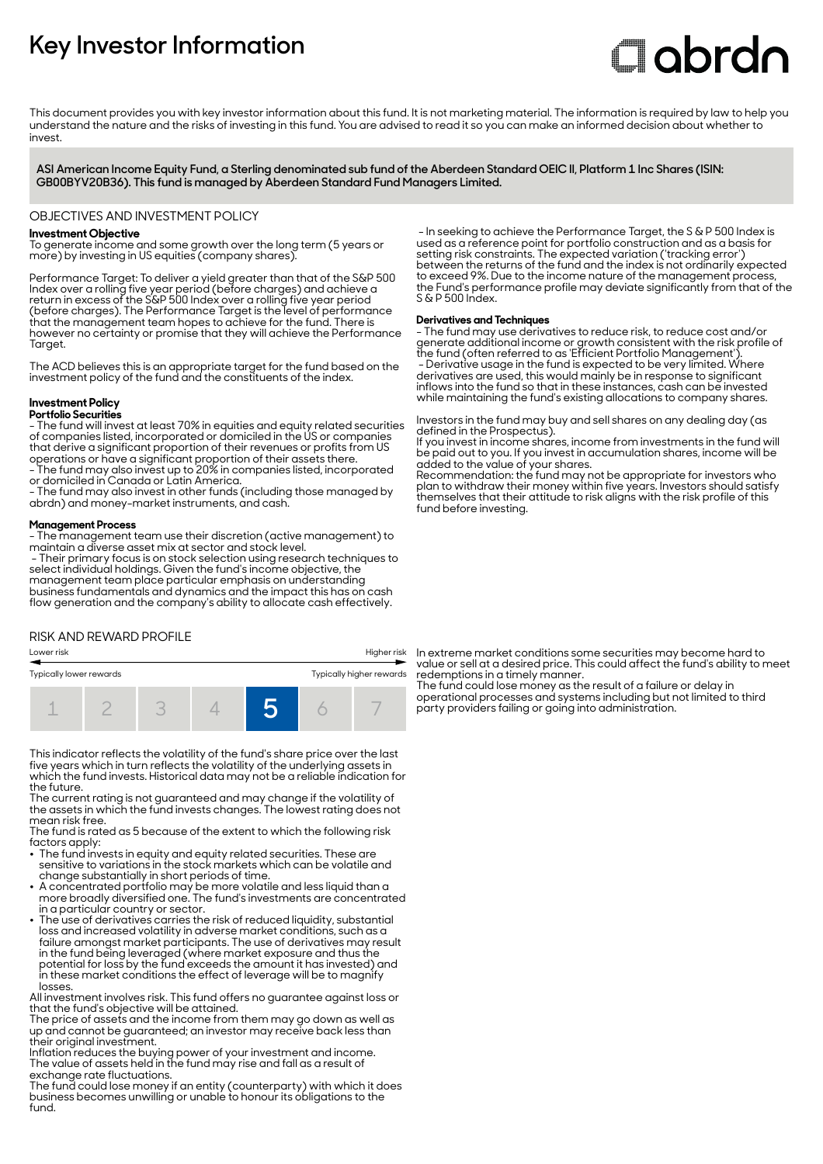# **Key Investor Information**

# Clobrdn

This document provides you with key investor information about this fund. It is not marketing material. The information is required by law to help you understand the nature and the risks of investing in this fund. You are advised to read it so you can make an informed decision about whether to invest

**ASI American Income Equity Fund, a Sterling denominated sub fund of the Aberdeen Standard OEIC II, Platform 1 Inc Shares (ISIN: GB00BYV20B36). This fund is managed by Aberdeen Standard Fund Managers Limited.**

#### OBJECTIVES AND INVESTMENT POLICY

#### **Investment Objective**

To generate income and some growth over the long term (5 years or more) by investing in US equities (company shares).

Performance Target: To deliver a yield greater than that of the S&P 500 Index over a rolling five year period (before charges) and achieve a return in excess of the S&P 500 Index over a rolling five year period (before charges). The Performance Target is the level of performance that the management team hopes to achieve for the fund. There is however no certainty or promise that they will achieve the Performance Taraet.

The ACD believes this is an appropriate target for the fund based on the investment policy of the fund and the constituents of the index.

### **Investment Policy**

**Portfolio Securities**

- The fund will invest at least 70% in equities and equity related securities of companies listed, incorporated or domiciled in the US or companies that derive a significant proportion of their revenues or profits from US operations or have a significant proportion of their assets there. - The fund may also invest up to 20% in companies listed, incorporated

or domiciled in Canada or Latin America. - The fund may also invest in other funds (including those managed by

abrdn) and money-market instruments, and cash.

#### **Management Process**

- The management team use their discretion (active management) to maintain a diverse asset mix at sector and stock level.

 - Their primary focus is on stock selection using research techniques to select individual holdings. Given the fund's income objective, the management team place particular emphasis on understanding business fundamentals and dynamics and the impact this has on cash flow generation and the company's ability to allocate cash effectively.

# RISK AND REWARD PROFILE



This indicator reflects the volatility of the fund's share price over the last five years which in turn reflects the volatility of the underlying assets in which the fund invests. Historical data may not be a reliable indication for the future.

The current rating is not guaranteed and may change if the volatility of the assets in which the fund invests changes. The lowest rating does not mean risk free.

The fund is rated as 5 because of the extent to which the following risk factors apply:

- 2 The fund invests in equity and equity related securities. These are sensitive to variations in the stock markets which can be volatile and change substantially in short periods of time.
- A concentrated portfolio may be more volatile and less liquid than a more broadly diversified one. The fund's investments are concentrated
- in a particular country or sector. 2 The use of derivatives carries the risk of reduced liquidity, substantial loss and increased volatility in adverse market conditions, such as a failure amongst market participants. The use of derivatives may result in the fund being leveraged (where market exposure and thus the potential for loss by the fund exceeds the amount it has invested) and in these market conditions the effect of leverage will be to magnify losses.

All investment involves risk. This fund offers no guarantee against loss or that the fund's objective will be attained.

The price of assets and the income from them may go down as well as up and cannot be guaranteed; an investor may receive back less than their original investment.

Inflation reduces the buying power of your investment and income. The value of assets held in the fund may rise and fall as a result of exchange rate fluctuations.

The fund could lose money if an entity (counterparty) with which it does business becomes unwilling or unable to honour its obligations to the fund.

 - In seeking to achieve the Performance Target, the S & P 500 Index is used as a reference point for portfolio construction and as a basis for setting risk constraints. The expected variation ('tracking error') between the returns of the fund and the index is not ordinarily expected to exceed 9%. Due to the income nature of the management process, the Fund's performance profile may deviate significantly from that of the S & P 500 Index.

#### **Derivatives and Techniques**

- The fund may use derivatives to reduce risk, to reduce cost and/or generate additional income or growth consistent with the risk profile of the fund (often referred to as 'Efficient Portfolio Management'). - Derivative usage in the fund is expected to be very limited. Where derivatives are used, this would mainly be in response to significant inflows into the fund so that in these instances, cash can be invested while maintaining the fund's existing allocations to company shares.

Investors in the fund may buy and sell shares on any dealing day (as defined in the Prospectus).

If you invest in income shares, income from investments in the fund will be paid out to you. If you invest in accumulation shares, income will be added to the value of your shares.

Recommendation: the fund may not be appropriate for investors who plan to withdraw their money within five years. Investors should satisfy themselves that their attitude to risk aligns with the risk profile of this fund before investing.

In extreme market conditions some securities may become hard to value or sell at a desired price. This could affect the fund's ability to meet redemptions in a timely manner.

The fund could lose money as the result of a failure or delay in operational processes and systems including but not limited to third party providers failing or going into administration.